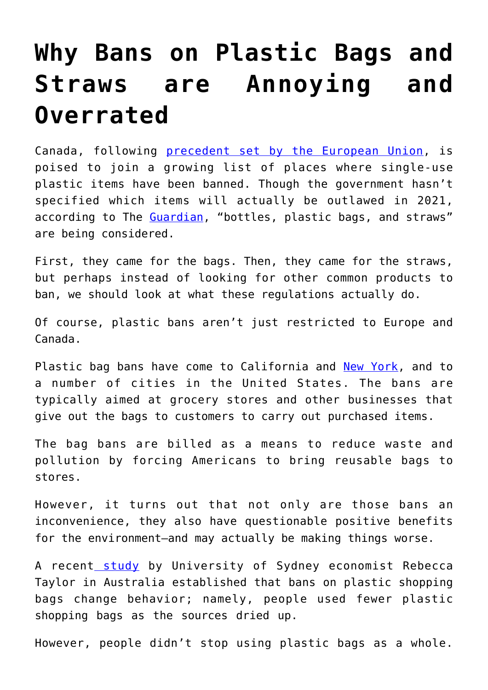## **[Why Bans on Plastic Bags and](https://intellectualtakeout.org/2019/06/why-bans-on-plastic-bags-and-straws-are-annoying-and-overrated/) [Straws are Annoying and](https://intellectualtakeout.org/2019/06/why-bans-on-plastic-bags-and-straws-are-annoying-and-overrated/) [Overrated](https://intellectualtakeout.org/2019/06/why-bans-on-plastic-bags-and-straws-are-annoying-and-overrated/)**

Canada, following [precedent set by the European Union,](https://www.nytimes.com/2018/10/25/world/europe/european-parliament-plastic-ban.html) is poised to join a growing list of places where single-use plastic items have been banned. Though the government hasn't specified which items will actually be outlawed in 2021, according to The [Guardian](https://www.theguardian.com/world/2019/jun/10/canada-ban-single-use-plastics-bags-bottles-straws-2021), "bottles, plastic bags, and straws" are being considered.

First, they came for the bags. Then, they came for the straws, but perhaps instead of looking for other common products to ban, we should look at what these regulations actually do.

Of course, plastic bans aren't just restricted to Europe and Canada.

Plastic bag bans have come to California and [New York,](https://www.dailysignal.com/2019/03/29/new-york-poised-to-ban-plastic-bags/) and to a number of cities in the United States. The bans are typically aimed at grocery stores and other businesses that give out the bags to customers to carry out purchased items.

The bag bans are billed as a means to reduce waste and pollution by forcing Americans to bring reusable bags to stores.

However, it turns out that not only are those bans an inconvenience, they also have questionable positive benefits for the environment—and may actually be making things worse.

A recent [study](https://www.sciencedirect.com/science/article/pii/S0095069618305291?utm_source=npr_newsletter&utm_medium=email&utm_content=20190408&utm_campaign=money&utm_term=nprnews) by University of Sydney economist Rebecca Taylor in Australia established that bans on plastic shopping bags change behavior; namely, people used fewer plastic shopping bags as the sources dried up.

However, people didn't stop using plastic bags as a whole.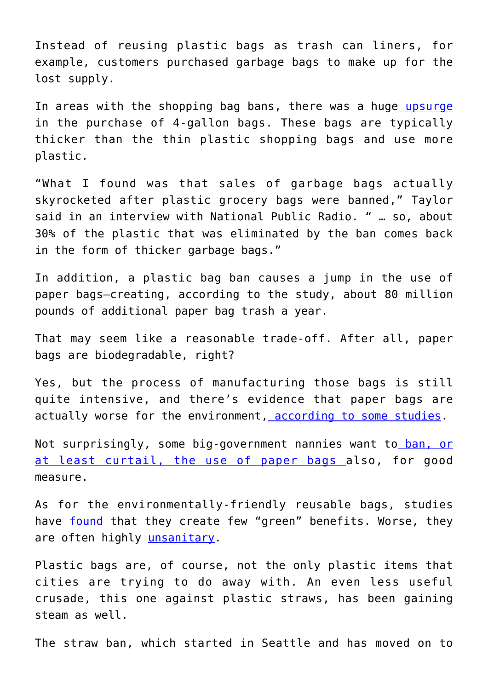Instead of reusing plastic bags as trash can liners, for example, customers purchased garbage bags to make up for the lost supply.

In areas with the shopping bag bans, there was a huge [upsurge](https://apps.npr.org/dailygraphics/graphics/pm-plastic-bags-20190405/) in the purchase of 4-gallon bags. These bags are typically thicker than the thin plastic shopping bags and use more plastic.

"What I found was that sales of garbage bags actually skyrocketed after plastic grocery bags were banned," Taylor said in an interview with National Public Radio. " … so, about 30% of the plastic that was eliminated by the ban comes back in the form of thicker garbage bags."

In addition, a plastic bag ban causes a jump in the use of paper bags—creating, according to the study, about 80 million pounds of additional paper bag trash a year.

That may seem like a reasonable trade-off. After all, paper bags are biodegradable, right?

Yes, but the process of manufacturing those bags is still quite intensive, and there's evidence that paper bags are actually worse for the environment, [according to some studies](https://www.npr.org/sections/money/2019/04/09/711181385/are-plastic-bag-bans-garbage).

Not surprisingly, some big-government nannies want t[o ban, or](https://www.dailywire.com/news/46945/new-jersey-state-senator-wants-ban-plastic-and-ashe-schow) [at least curtail, the use of paper bags](https://www.dailywire.com/news/46945/new-jersey-state-senator-wants-ban-plastic-and-ashe-schow) also, for good measure.

As for the environmentally-friendly reusable bags, studies have [found](https://www.theatlantic.com/technology/archive/2016/09/to-tote-or-note-to-tote/498557/) that they create few "green" benefits. Worse, they are often highly *unsanitary*.

Plastic bags are, of course, not the only plastic items that cities are trying to do away with. An even less useful crusade, this one against plastic straws, has been gaining steam as well.

The straw ban, which started in Seattle and has moved on to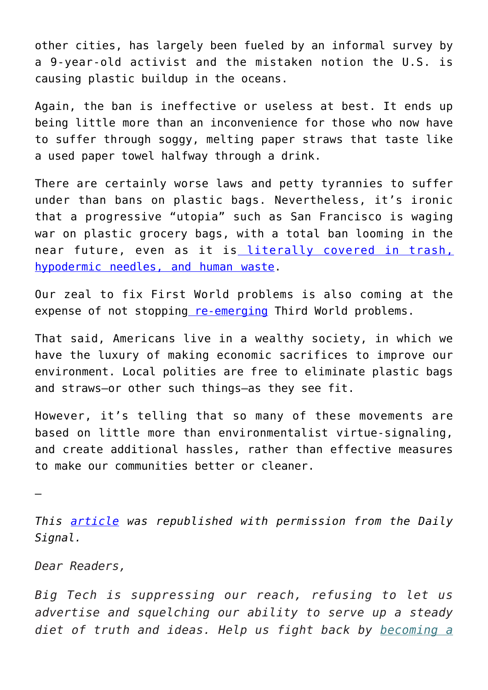other cities, has largely been fueled by an informal survey by a 9-year-old activist and the mistaken notion the U.S. is causing plastic buildup in the oceans.

Again, the ban is ineffective or useless at best. It ends up being little more than an inconvenience for those who now have to suffer through soggy, melting paper straws that taste like a used paper towel halfway through a drink.

There are certainly worse laws and petty tyrannies to suffer under than bans on plastic bags. Nevertheless, it's ironic that a progressive "utopia" such as San Francisco is waging war on plastic grocery bags, with a total ban looming in the near future, even as it is [literally covered in trash,](https://www.npr.org/2018/08/01/634626538/san-francisco-squalor-city-streets-strewn-with-trash-needles-and-human-feces) [hypodermic needles, and human waste.](https://www.npr.org/2018/08/01/634626538/san-francisco-squalor-city-streets-strewn-with-trash-needles-and-human-feces)

Our zeal to fix First World problems is also coming at the expense of not stoppin[g re-emerging](https://www.nbcbayarea.com/investigations/Diseased-Streets-472430013.html) Third World problems.

That said, Americans live in a wealthy society, in which we have the luxury of making economic sacrifices to improve our environment. Local polities are free to eliminate plastic bags and straws—or other such things—as they see fit.

However, it's telling that so many of these movements are based on little more than environmentalist virtue-signaling, and create additional hassles, rather than effective measures to make our communities better or cleaner.

—

*This [article](https://www.dailysignal.com/2019/06/10/why-bans-on-plastic-bags-and-straws-are-annoying-and-overrated/) was republished with permission from the Daily Signal.*

*Dear Readers,*

*Big Tech is suppressing our reach, refusing to let us advertise and squelching our ability to serve up a steady diet of truth and ideas. Help us fight back by [becoming a](https://www.chroniclesmagazine.org/subscribe/)*